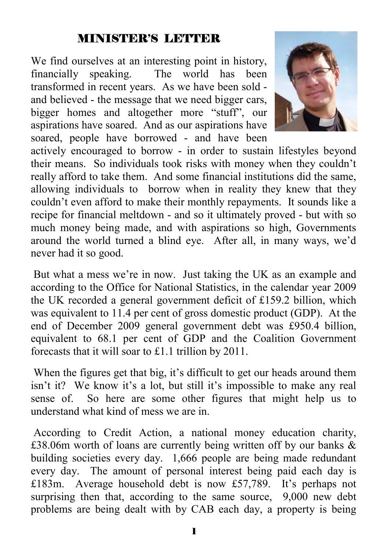#### MINISTER'S LETTER

We find ourselves at an interesting point in history, financially speaking. The world has been transformed in recent years. As we have been sold and believed - the message that we need bigger cars, bigger homes and altogether more "stuff", our aspirations have soared. And as our aspirations have soared, people have borrowed - and have been



actively encouraged to borrow - in order to sustain lifestyles beyond their means. So individuals took risks with money when they couldn't really afford to take them. And some financial institutions did the same, allowing individuals to borrow when in reality they knew that they couldn't even afford to make their monthly repayments. It sounds like a recipe for financial meltdown - and so it ultimately proved - but with so much money being made, and with aspirations so high, Governments around the world turned a blind eye. After all, in many ways, we'd never had it so good.

 But what a mess we're in now. Just taking the UK as an example and according to the Office for National Statistics, in the calendar year 2009 the UK recorded a general government deficit of £159.2 billion, which was equivalent to 11.4 per cent of gross domestic product (GDP). At the end of December 2009 general government debt was £950.4 billion, equivalent to 68.1 per cent of GDP and the Coalition Government forecasts that it will soar to £1.1 trillion by 2011.

 When the figures get that big, it's difficult to get our heads around them isn't it? We know it's a lot, but still it's impossible to make any real sense of. So here are some other figures that might help us to understand what kind of mess we are in.

 According to Credit Action, a national money education charity, £38.06m worth of loans are currently being written off by our banks & building societies every day. 1,666 people are being made redundant every day. The amount of personal interest being paid each day is £183m. Average household debt is now £57,789. It's perhaps not surprising then that, according to the same source, 9,000 new debt problems are being dealt with by CAB each day, a property is being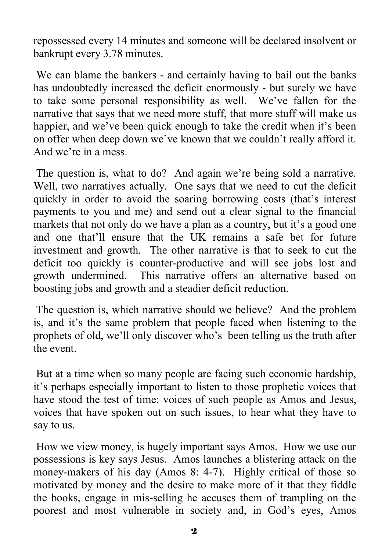repossessed every 14 minutes and someone will be declared insolvent or bankrupt every 3.78 minutes.

 We can blame the bankers - and certainly having to bail out the banks has undoubtedly increased the deficit enormously - but surely we have to take some personal responsibility as well. We've fallen for the narrative that says that we need more stuff, that more stuff will make us happier, and we've been quick enough to take the credit when it's been on offer when deep down we've known that we couldn't really afford it. And we're in a mess.

The question is, what to do? And again we're being sold a narrative. Well, two narratives actually. One says that we need to cut the deficit quickly in order to avoid the soaring borrowing costs (that's interest payments to you and me) and send out a clear signal to the financial markets that not only do we have a plan as a country, but it's a good one and one that'll ensure that the UK remains a safe bet for future investment and growth. The other narrative is that to seek to cut the deficit too quickly is counter-productive and will see jobs lost and growth undermined. This narrative offers an alternative based on boosting jobs and growth and a steadier deficit reduction.

 The question is, which narrative should we believe? And the problem is, and it's the same problem that people faced when listening to the prophets of old, we'll only discover who's been telling us the truth after the event.

 But at a time when so many people are facing such economic hardship, it's perhaps especially important to listen to those prophetic voices that have stood the test of time: voices of such people as Amos and Jesus, voices that have spoken out on such issues, to hear what they have to say to us.

 How we view money, is hugely important says Amos. How we use our possessions is key says Jesus. Amos launches a blistering attack on the money-makers of his day (Amos 8: 4-7). Highly critical of those so motivated by money and the desire to make more of it that they fiddle the books, engage in mis-selling he accuses them of trampling on the poorest and most vulnerable in society and, in God's eyes, Amos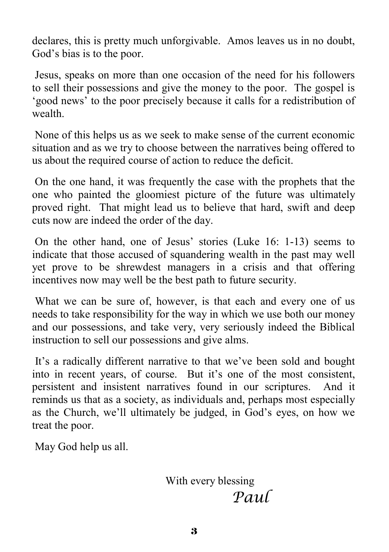declares, this is pretty much unforgivable. Amos leaves us in no doubt, God's bias is to the poor.

 Jesus, speaks on more than one occasion of the need for his followers to sell their possessions and give the money to the poor. The gospel is 'good news' to the poor precisely because it calls for a redistribution of wealth.

 None of this helps us as we seek to make sense of the current economic situation and as we try to choose between the narratives being offered to us about the required course of action to reduce the deficit.

 On the one hand, it was frequently the case with the prophets that the one who painted the gloomiest picture of the future was ultimately proved right. That might lead us to believe that hard, swift and deep cuts now are indeed the order of the day.

 On the other hand, one of Jesus' stories (Luke 16: 1-13) seems to indicate that those accused of squandering wealth in the past may well yet prove to be shrewdest managers in a crisis and that offering incentives now may well be the best path to future security.

 What we can be sure of, however, is that each and every one of us needs to take responsibility for the way in which we use both our money and our possessions, and take very, very seriously indeed the Biblical instruction to sell our possessions and give alms.

 It's a radically different narrative to that we've been sold and bought into in recent years, of course. But it's one of the most consistent, persistent and insistent narratives found in our scriptures. And it reminds us that as a society, as individuals and, perhaps most especially as the Church, we'll ultimately be judged, in God's eyes, on how we treat the poor.

May God help us all.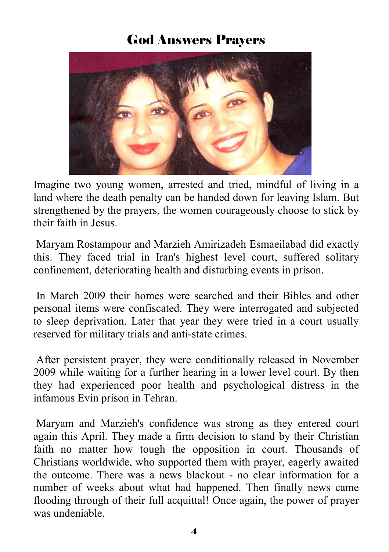### God Answers Prayers



Imagine two young women, arrested and tried, mindful of living in a land where the death penalty can be handed down for leaving Islam. But strengthened by the prayers, the women courageously choose to stick by their faith in Jesus.

 Maryam Rostampour and Marzieh Amirizadeh Esmaeilabad did exactly this. They faced trial in Iran's highest level court, suffered solitary confinement, deteriorating health and disturbing events in prison.

 In March 2009 their homes were searched and their Bibles and other personal items were confiscated. They were interrogated and subjected to sleep deprivation. Later that year they were tried in a court usually reserved for military trials and anti-state crimes.

 After persistent prayer, they were conditionally released in November 2009 while waiting for a further hearing in a lower level court. By then they had experienced poor health and psychological distress in the infamous Evin prison in Tehran.

 Maryam and Marzieh's confidence was strong as they entered court again this April. They made a firm decision to stand by their Christian faith no matter how tough the opposition in court. Thousands of Christians worldwide, who supported them with prayer, eagerly awaited the outcome. There was a news blackout - no clear information for a number of weeks about what had happened. Then finally news came flooding through of their full acquittal! Once again, the power of prayer was undeniable.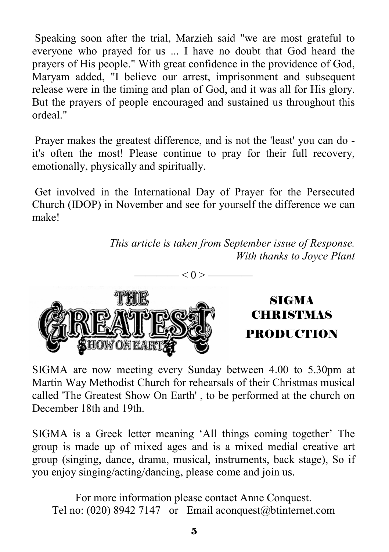Speaking soon after the trial, Marzieh said "we are most grateful to everyone who prayed for us ... I have no doubt that God heard the prayers of His people." With great confidence in the providence of God, Maryam added, "I believe our arrest, imprisonment and subsequent release were in the timing and plan of God, and it was all for His glory. But the prayers of people encouraged and sustained us throughout this ordeal"

 Prayer makes the greatest difference, and is not the 'least' you can do it's often the most! Please continue to pray for their full recovery, emotionally, physically and spiritually.

 Get involved in the International Day of Prayer for the Persecuted Church (IDOP) in November and see for yourself the difference we can make!

 $< 0 > -$ 

*This article is taken from September issue of Response. With thanks to Joyce Plant* 



SIGMA CHRISTMAS PRODUCTION

SIGMA are now meeting every Sunday between 4.00 to 5.30pm at Martin Way Methodist Church for rehearsals of their Christmas musical called 'The Greatest Show On Earth' , to be performed at the church on December 18th and 19th.

SIGMA is a Greek letter meaning 'All things coming together' The group is made up of mixed ages and is a mixed medial creative art group (singing, dance, drama, musical, instruments, back stage), So if you enjoy singing/acting/dancing, please come and join us.

For more information please contact Anne Conquest. Tel no: (020) 8942 7147 or Email aconquest@btinternet.com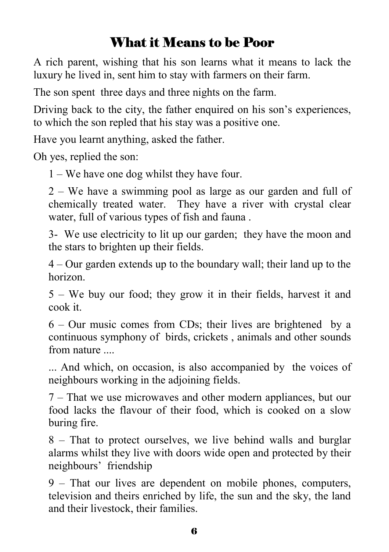## What it Means to be Poor

A rich parent, wishing that his son learns what it means to lack the luxury he lived in, sent him to stay with farmers on their farm.

The son spent three days and three nights on the farm.

Driving back to the city, the father enquired on his son's experiences, to which the son repled that his stay was a positive one.

Have you learnt anything, asked the father.

Oh yes, replied the son:

1 – We have one dog whilst they have four.

2 – We have a swimming pool as large as our garden and full of chemically treated water. They have a river with crystal clear water, full of various types of fish and fauna .

3- We use electricity to lit up our garden; they have the moon and the stars to brighten up their fields.

4 – Our garden extends up to the boundary wall; their land up to the horizon.

5 – We buy our food; they grow it in their fields, harvest it and cook it.

6 – Our music comes from CDs; their lives are brightened by a continuous symphony of birds, crickets , animals and other sounds from nature ....

... And which, on occasion, is also accompanied by the voices of neighbours working in the adjoining fields.

7 – That we use microwaves and other modern appliances, but our food lacks the flavour of their food, which is cooked on a slow buring fire.

8 – That to protect ourselves, we live behind walls and burglar alarms whilst they live with doors wide open and protected by their neighbours' friendship

9 – That our lives are dependent on mobile phones, computers, television and theirs enriched by life, the sun and the sky, the land and their livestock, their families.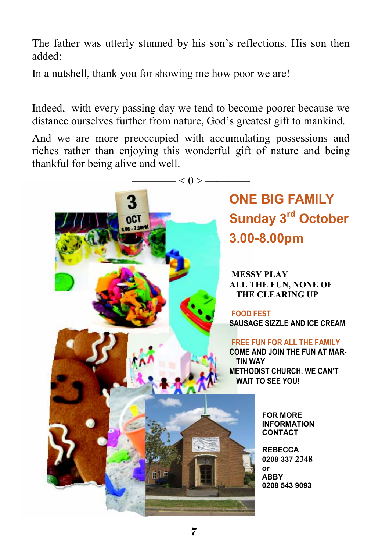The father was utterly stunned by his son's reflections. His son then added:

In a nutshell, thank you for showing me how poor we are!

Indeed, with every passing day we tend to become poorer because we distance ourselves further from nature, God's greatest gift to mankind.

And we are more preoccupied with accumulating possessions and riches rather than enjoying this wonderful gift of nature and being thankful for being alive and well.

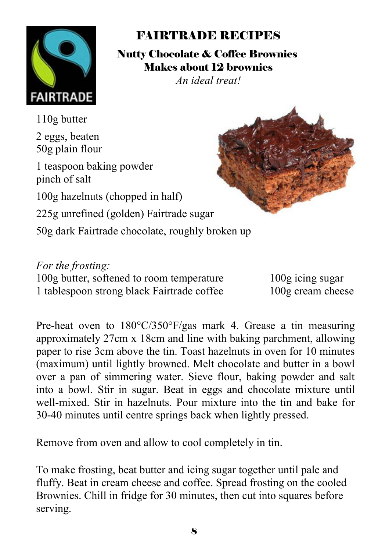

### FAIRTRADE RECIPES

Nutty Chocolate & Coffee Brownies Makes about 12 brownies

*An ideal treat!* 

110g butter 2 eggs, beaten 50g plain flour 1 teaspoon baking powder pinch of salt 100g hazelnuts (chopped in half) 225g unrefined (golden) Fairtrade sugar 50g dark Fairtrade chocolate, roughly broken up

*For the frosting:* 100g butter, softened to room temperature 100g icing sugar 1 tablespoon strong black Fairtrade coffee 100g cream cheese

Pre-heat oven to 180°C/350°F/gas mark 4. Grease a tin measuring approximately 27cm x 18cm and line with baking parchment, allowing paper to rise 3cm above the tin. Toast hazelnuts in oven for 10 minutes (maximum) until lightly browned. Melt chocolate and butter in a bowl over a pan of simmering water. Sieve flour, baking powder and salt into a bowl. Stir in sugar. Beat in eggs and chocolate mixture until well-mixed. Stir in hazelnuts. Pour mixture into the tin and bake for 30-40 minutes until centre springs back when lightly pressed.

Remove from oven and allow to cool completely in tin.

To make frosting, beat butter and icing sugar together until pale and fluffy. Beat in cream cheese and coffee. Spread frosting on the cooled Brownies. Chill in fridge for 30 minutes, then cut into squares before serving.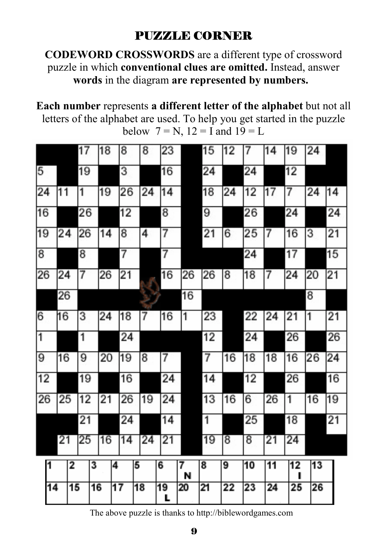### PUZZLE CORNER

**CODEWORD CROSSWORDS** are a different type of crossword puzzle in which **conventional clues are omitted.** Instead, answer **words** in the diagram **are represented by numbers.** 

**Each number** represents **a different letter of the alphabet** but not all letters of the alphabet are used. To help you get started in the puzzle below  $7 = N$ ,  $12 = I$  and  $19 = L$ 

|    |    | 17 | 18              | 8               | 8  | 23      |        | 15      | 12 | 7  | 14              | 19 | 24 |    |
|----|----|----|-----------------|-----------------|----|---------|--------|---------|----|----|-----------------|----|----|----|
| 5  |    | 19 |                 | 3               |    | 16      |        | $^{24}$ |    | 24 |                 | 12 |    |    |
| 24 | 11 | 1  | 19              | 26              | 24 | 14      |        | 18      | 24 | 12 | 17              | 7  | 24 | 14 |
| 16 |    | 26 |                 | 12              |    | 8       |        | 9       |    | 26 |                 | 24 |    | 24 |
| 19 | 24 | 26 | 14              | 8               | 4  | 7       |        | 21      | 6  | 25 | 7               | 16 | 3  | 21 |
| 8  |    | 8  |                 | 7               |    | 7       |        |         |    | 24 |                 | 17 |    | 15 |
| 26 | 24 | 7  | 26              | 21              |    | 16      | 26     | 26      | 8  | 18 | 7               | 24 | 20 | 21 |
|    | 26 |    |                 |                 |    |         | 16     |         |    |    |                 |    | 8  |    |
| 6  | 16 | 3  | 24              | 18              | 7  | 16      | 1      | 23      |    | 22 | 24              | 21 | 1  | 21 |
| 1  |    | 1  |                 | 24              |    |         |        | 12      |    | 24 |                 | 26 |    | 26 |
| 9  | 16 | 9  | 20              | 19              | 8  | 7       |        | 7       | 16 | 18 | 18              | 16 | 26 | 24 |
| 12 |    | 19 |                 | 16              |    | 24      |        | 14      |    | 12 |                 | 26 |    | 16 |
| 26 | 25 | 12 | 21              | 26              | 19 | 24      |        | 13      | 16 | 6  | 26              | 1  | 16 | 19 |
|    |    | 21 |                 | 24              |    | 14      |        | 1       |    | 25 |                 | 18 |    | 21 |
|    | 21 | 25 | 16              | 14              | 24 | 21      |        | 19      | 8  | 8  | 21              | 24 |    |    |
| 1  |    | 2  | 3               | 4               | 5  | 6       | 7<br>N | 8       | 9  | 10 | $\overline{11}$ | 12 | 13 |    |
| 14 |    | 15 | $\overline{16}$ | $\overline{17}$ | 18 | 19<br>г | 20     | 21      | 22 | 23 | 24              | 25 | 26 |    |

The above puzzle is thanks to http://biblewordgames.com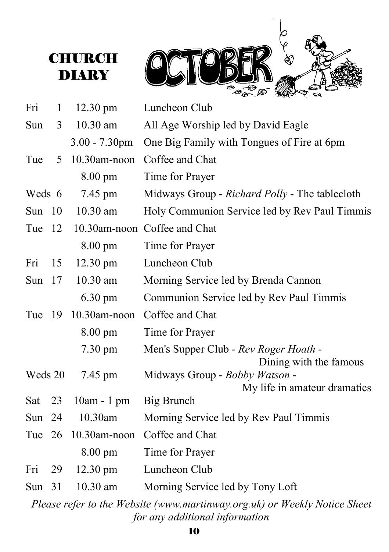## **CHURCH DIARY**



| Fri      | $\mathbf{1}$ | $12.30 \text{ pm}$ | Luncheon Club                                                                                               |  |  |  |  |  |  |
|----------|--------------|--------------------|-------------------------------------------------------------------------------------------------------------|--|--|--|--|--|--|
| Sun      | 3            | $10.30$ am         | All Age Worship led by David Eagle                                                                          |  |  |  |  |  |  |
|          |              | $3.00 - 7.30$ pm   | One Big Family with Tongues of Fire at 6pm                                                                  |  |  |  |  |  |  |
| Tue      | 5            | 10.30am-noon       | Coffee and Chat                                                                                             |  |  |  |  |  |  |
|          |              | 8.00 pm            | Time for Prayer                                                                                             |  |  |  |  |  |  |
| Weds 6   |              | 7.45 pm            | Midways Group - Richard Polly - The tablecloth                                                              |  |  |  |  |  |  |
| Sun      | 10           | $10.30$ am         | Holy Communion Service led by Rev Paul Timmis                                                               |  |  |  |  |  |  |
| Tue      | 12           |                    | 10.30am-noon Coffee and Chat                                                                                |  |  |  |  |  |  |
|          |              | 8.00 pm            | Time for Prayer                                                                                             |  |  |  |  |  |  |
| Fri      | 15           | $12.30 \text{ pm}$ | Luncheon Club                                                                                               |  |  |  |  |  |  |
| Sun $17$ |              | $10.30$ am         | Morning Service led by Brenda Cannon                                                                        |  |  |  |  |  |  |
|          |              | $6.30 \text{ pm}$  | Communion Service led by Rev Paul Timmis                                                                    |  |  |  |  |  |  |
| Tue      | -19          | 10.30am-noon       | Coffee and Chat                                                                                             |  |  |  |  |  |  |
|          |              | 8.00 pm            | Time for Prayer                                                                                             |  |  |  |  |  |  |
|          |              | $7.30 \text{ pm}$  | Men's Supper Club - Rev Roger Hoath -<br>Dining with the famous                                             |  |  |  |  |  |  |
| Weds 20  |              | 7.45 pm            | Midways Group - Bobby Watson -<br>My life in amateur dramatics                                              |  |  |  |  |  |  |
| Sat      | 23           | 10am - 1 pm        | Big Brunch                                                                                                  |  |  |  |  |  |  |
| Sun      | 24           | 10.30am            | Morning Service led by Rev Paul Timmis                                                                      |  |  |  |  |  |  |
| Tue 26   |              | $10.30$ am-noon    | Coffee and Chat                                                                                             |  |  |  |  |  |  |
|          |              | $8.00 \text{ pm}$  | Time for Prayer                                                                                             |  |  |  |  |  |  |
| Fri      | 29           | $12.30 \text{ pm}$ | Luncheon Club                                                                                               |  |  |  |  |  |  |
| Sun $31$ |              | $10.30$ am         | Morning Service led by Tony Loft                                                                            |  |  |  |  |  |  |
|          |              |                    | Please refer to the Website (www.martinway.org.uk) or Weekly Notice Sheet<br>for any additional information |  |  |  |  |  |  |

10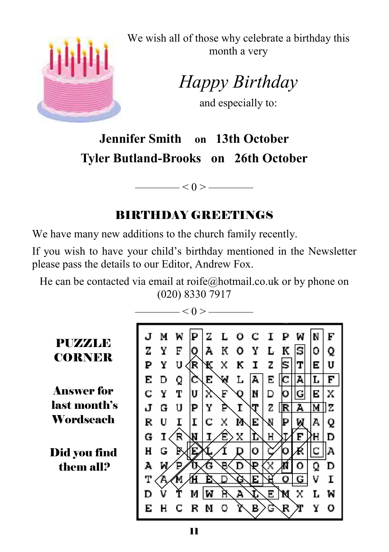

We wish all of those why celebrate a birthday this month a very

*Happy Birthday* 

and especially to:

# **Jennifer Smith on 13th October Tyler Butland-Brooks on 26th October**

### BIRTHDAY GREETINGS

 $\leq 0$  >  $\leq$ 

We have many new additions to the church family recently.

If you wish to have your child's birthday mentioned in the Newsletter please pass the details to our Editor, Andrew Fox.

He can be contacted via email at roife@hotmail.co.uk or by phone on (020) 8330 7917

 $\longrightarrow$  < 0 >  $\longrightarrow$ 

**PUZZZLE CORNER** 

Answer for last month's Wordseach

Did you find them all?